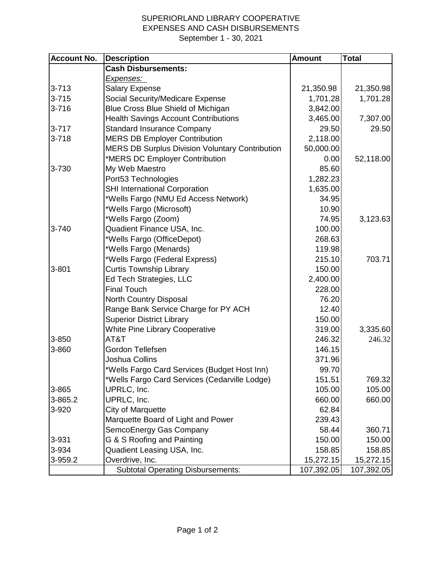## SUPERIORLAND LIBRARY COOPERATIVE EXPENSES AND CASH DISBURSEMENTS September 1 - 30, 2021

| <b>Account No.</b> | <b>Description</b>                                     | <b>Amount</b> | <b>Total</b> |
|--------------------|--------------------------------------------------------|---------------|--------------|
|                    | <b>Cash Disbursements:</b>                             |               |              |
|                    | <u>Expenses:</u>                                       |               |              |
| $3 - 713$          | <b>Salary Expense</b>                                  | 21,350.98     | 21,350.98    |
| $3 - 715$          | <b>Social Security/Medicare Expense</b>                | 1,701.28      | 1,701.28     |
| $3 - 716$          | Blue Cross Blue Shield of Michigan                     | 3,842.00      |              |
|                    | <b>Health Savings Account Contributions</b>            | 3,465.00      | 7,307.00     |
| $3 - 717$          | <b>Standard Insurance Company</b>                      | 29.50         | 29.50        |
| $3 - 718$          | <b>MERS DB Employer Contribution</b>                   | 2,118.00      |              |
|                    | <b>MERS DB Surplus Division Voluntary Contribution</b> | 50,000.00     |              |
|                    | *MERS DC Employer Contribution                         | 0.00          | 52,118.00    |
| 3-730              | My Web Maestro                                         | 85.60         |              |
|                    | Port53 Technologies                                    | 1,282.23      |              |
|                    | <b>SHI International Corporation</b>                   | 1,635.00      |              |
|                    | *Wells Fargo (NMU Ed Access Network)                   | 34.95         |              |
|                    | *Wells Fargo (Microsoft)                               | 10.90         |              |
|                    | *Wells Fargo (Zoom)                                    | 74.95         | 3,123.63     |
| 3-740              | Quadient Finance USA, Inc.                             | 100.00        |              |
|                    | *Wells Fargo (OfficeDepot)                             | 268.63        |              |
|                    | *Wells Fargo (Menards)                                 | 119.98        |              |
|                    | *Wells Fargo (Federal Express)                         | 215.10        | 703.71       |
| $3 - 801$          | <b>Curtis Township Library</b>                         | 150.00        |              |
|                    | Ed Tech Strategies, LLC                                | 2,400.00      |              |
|                    | <b>Final Touch</b>                                     | 228.00        |              |
|                    | North Country Disposal                                 | 76.20         |              |
|                    | Range Bank Service Charge for PY ACH                   | 12.40         |              |
|                    | <b>Superior District Library</b>                       | 150.00        |              |
|                    | <b>White Pine Library Cooperative</b>                  | 319.00        | 3,335.60     |
| 3-850              | AT&T                                                   | 246.32        | 246.32       |
| 3-860              | Gordon Tellefsen                                       | 146.15        |              |
|                    | Joshua Collins                                         | 371.96        |              |
|                    | *Wells Fargo Card Services (Budget Host Inn)           | 99.70         |              |
|                    | *Wells Fargo Card Services (Cedarville Lodge)          | 151.51        | 769.32       |
| 3-865              | UPRLC, Inc.                                            | 105.00        | 105.00       |
| 3-865.2            | UPRLC, Inc.                                            | 660.00        | 660.00       |
| 3-920              | City of Marquette                                      | 62.84         |              |
|                    | Marquette Board of Light and Power                     | 239.43        |              |
|                    | SemcoEnergy Gas Company                                | 58.44         | 360.71       |
| 3-931              | G & S Roofing and Painting                             | 150.00        | 150.00       |
| 3-934              | Quadient Leasing USA, Inc.                             | 158.85        | 158.85       |
| 3-959.2            | Overdrive, Inc.                                        | 15,272.15     | 15,272.15    |
|                    | <b>Subtotal Operating Disbursements:</b>               | 107,392.05    | 107,392.05   |